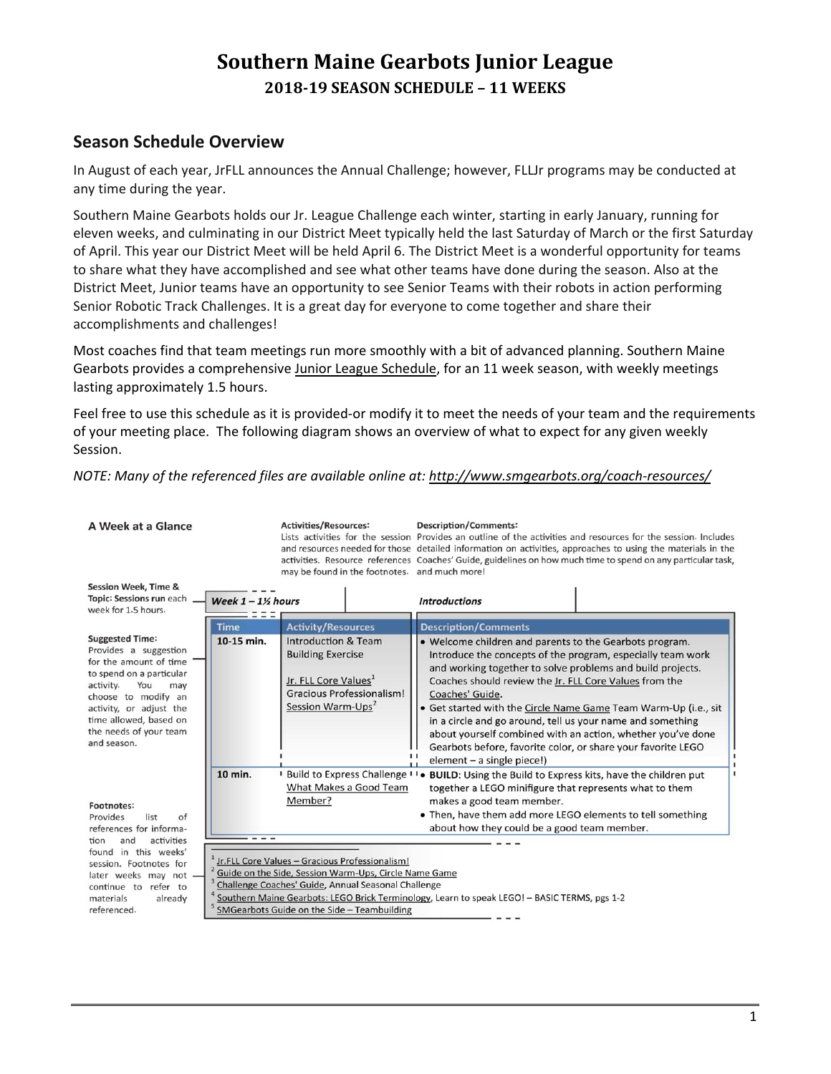# **Southern Maine Gearbots Junior League 2018‐19 SEASON SCHEDULE – 11 WEEKS**

# **Season Schedule Overview**

In August of each year, JrFLL announces the Annual Challenge; however, FLLJr programs may be conducted at any time during the year.

Southern Maine Gearbots holds our Jr. League Challenge each winter, starting in early January, running for eleven weeks, and culminating in our District Meet typically held the last Saturday of March or the first Saturday of April. This year our District Meet will be held April 6. The District Meet is a wonderful opportunity for teams to share what they have accomplished and see what other teams have done during the season. Also at the District Meet, Junior teams have an opportunity to see Senior Teams with their robots in action performing Senior Robotic Track Challenges. It is a great day for everyone to come together and share their accomplishments and challenges!

Most coaches find that team meetings run more smoothly with a bit of advanced planning. Southern Maine Gearbots provides a comprehensive Junior League Schedule, for an 11 week season, with weekly meetings lasting approximately 1.5 hours.

Feel free to use this schedule as it is provided-or modify it to meet the needs of your team and the requirements of your meeting place. The following diagram shows an overview of what to expect for any given weekly Session.

*NOTE: Many of the referenced files are available online at: http://www.smgearbots.org/coach‐resources/*

A Week at a Glance

**Activities/Resources:** 

**Description/Comments:** 

Lists activities for the session Provides an outline of the activities and resources for the session Includes and resources needed for those detailed information on activities, approaches to using the materials in the activities. Resource references Coaches' Guide, guidelines on how much time to spend on any particular task, may be found in the footnotes. and much more!

| <b>Session Week, Time &amp;</b>                                                                                                                                                                                                                       |                                 |                                                                                                                                                                                                               |                                                                                                                                                                                                                                                                                                                                                                                                                                                                                                                                                                   |  |
|-------------------------------------------------------------------------------------------------------------------------------------------------------------------------------------------------------------------------------------------------------|---------------------------------|---------------------------------------------------------------------------------------------------------------------------------------------------------------------------------------------------------------|-------------------------------------------------------------------------------------------------------------------------------------------------------------------------------------------------------------------------------------------------------------------------------------------------------------------------------------------------------------------------------------------------------------------------------------------------------------------------------------------------------------------------------------------------------------------|--|
| Topic: Sessions run each                                                                                                                                                                                                                              | Week $1 - 1$ <sup>%</sup> hours |                                                                                                                                                                                                               | <b>Introductions</b>                                                                                                                                                                                                                                                                                                                                                                                                                                                                                                                                              |  |
| week for 1.5 hours.                                                                                                                                                                                                                                   |                                 |                                                                                                                                                                                                               |                                                                                                                                                                                                                                                                                                                                                                                                                                                                                                                                                                   |  |
|                                                                                                                                                                                                                                                       | Time                            | <b>Activity/Resources</b>                                                                                                                                                                                     | <b>Description/Comments</b>                                                                                                                                                                                                                                                                                                                                                                                                                                                                                                                                       |  |
| <b>Suggested Time:</b><br>Provides a suggestion<br>for the amount of time<br>to spend on a particular<br>activity.<br>You<br>may<br>choose to modify an<br>activity, or adjust the<br>time allowed, based on<br>the needs of your team<br>and season. | 10-15 min.                      | <b>Introduction &amp; Team</b><br><b>Building Exercise</b><br>Jr. FLL Core Values <sup>1</sup><br><b>Gracious Professionalism!</b><br>Session Warm-Ups <sup>2</sup>                                           | . Welcome children and parents to the Gearbots program.<br>Introduce the concepts of the program, especially team work<br>and working together to solve problems and build projects.<br>Coaches should review the Jr. FLL Core Values from the<br>Coaches' Guide.<br>• Get started with the Circle Name Game Team Warm-Up (i.e., sit<br>in a circle and go around, tell us your name and something<br>about yourself combined with an action, whether you've done<br>Gearbots before, favorite color, or share your favorite LEGO<br>element $-$ a single piece!) |  |
| Footnotes:<br>Provides<br>list<br>of<br>references for informa-<br>activities<br>tion<br>and                                                                                                                                                          | 10 min.                         | What Makes a Good Team<br>Member?                                                                                                                                                                             | Build to Express Challenge II. BUILD: Using the Build to Express kits, have the children put<br>together a LEGO minifigure that represents what to them<br>makes a good team member.<br>• Then, have them add more LEGO elements to tell something<br>about how they could be a good team member.                                                                                                                                                                                                                                                                 |  |
| in this weeks'<br>found<br>session. Footnotes for<br>later weeks may not .<br>refer to<br>continue to<br>materials<br>already<br>referenced.                                                                                                          |                                 | Jr.FLL Core Values - Gracious Professionalism!<br>Guide on the Side, Session Warm-Ups, Circle Name Game<br>Challenge Coaches' Guide, Annual Seasonal Challenge<br>SMGearbots Guide on the Side - Teambuilding | Southern Maine Gearbots: LEGO Brick Terminology, Learn to speak LEGO! - BASIC TERMS, pgs 1-2                                                                                                                                                                                                                                                                                                                                                                                                                                                                      |  |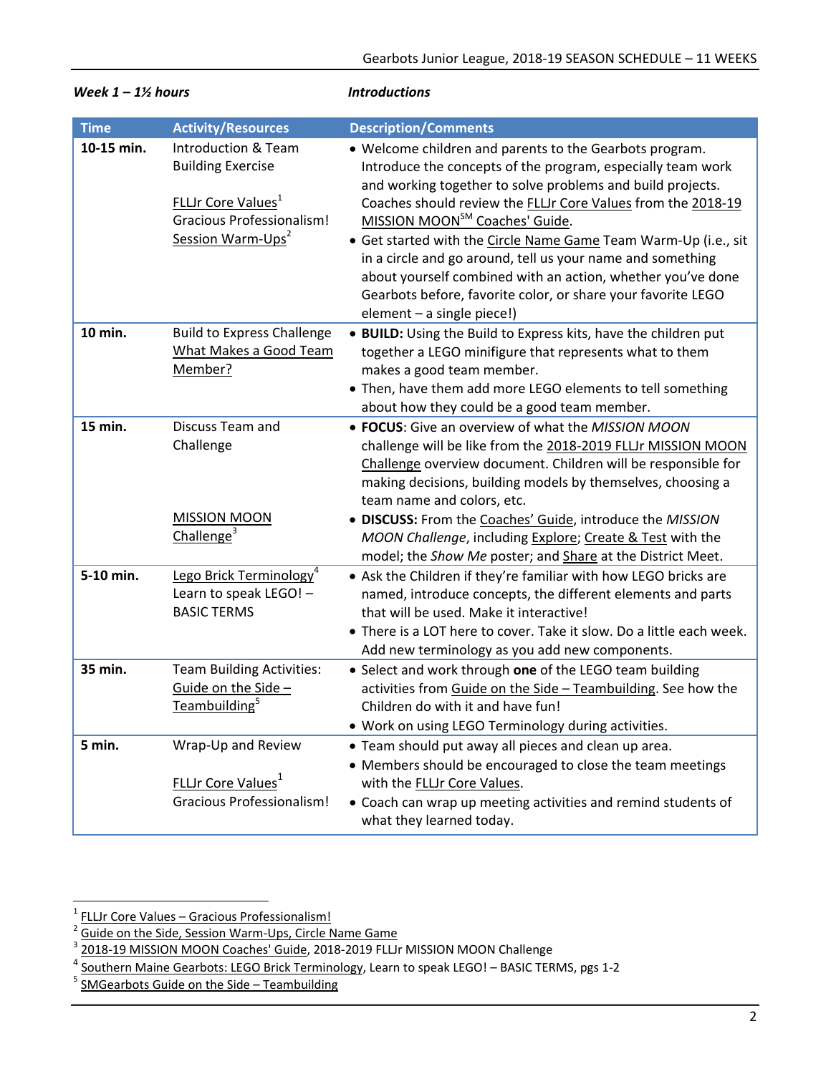| week $1 - 1/2$ nours |                                                                                                                                                                          | <i><b>INTroductions</b></i>                                                                                                                                                                                                                                                                                                                                                                                                                                                                                                                                                                      |  |
|----------------------|--------------------------------------------------------------------------------------------------------------------------------------------------------------------------|--------------------------------------------------------------------------------------------------------------------------------------------------------------------------------------------------------------------------------------------------------------------------------------------------------------------------------------------------------------------------------------------------------------------------------------------------------------------------------------------------------------------------------------------------------------------------------------------------|--|
| <b>Time</b>          | <b>Activity/Resources</b>                                                                                                                                                | <b>Description/Comments</b>                                                                                                                                                                                                                                                                                                                                                                                                                                                                                                                                                                      |  |
| 10-15 min.           | <b>Introduction &amp; Team</b><br><b>Building Exercise</b><br><b>FLLJr Core Values</b> <sup>1</sup><br><b>Gracious Professionalism!</b><br>Session Warm-Ups <sup>2</sup> | • Welcome children and parents to the Gearbots program.<br>Introduce the concepts of the program, especially team work<br>and working together to solve problems and build projects.<br>Coaches should review the FLLJr Core Values from the 2018-19<br>MISSION MOON <sup>SM</sup> Coaches' Guide.<br>• Get started with the Circle Name Game Team Warm-Up (i.e., sit<br>in a circle and go around, tell us your name and something<br>about yourself combined with an action, whether you've done<br>Gearbots before, favorite color, or share your favorite LEGO<br>element - a single piece!) |  |
| 10 min.              | <b>Build to Express Challenge</b><br>What Makes a Good Team<br>Member?                                                                                                   | • BUILD: Using the Build to Express kits, have the children put<br>together a LEGO minifigure that represents what to them<br>makes a good team member.<br>• Then, have them add more LEGO elements to tell something<br>about how they could be a good team member.                                                                                                                                                                                                                                                                                                                             |  |
| 15 min.              | Discuss Team and<br>Challenge<br><b>MISSION MOON</b><br>Challenge <sup>3</sup>                                                                                           | • FOCUS: Give an overview of what the MISSION MOON<br>challenge will be like from the 2018-2019 FLLJr MISSION MOON<br>Challenge overview document. Children will be responsible for<br>making decisions, building models by themselves, choosing a<br>team name and colors, etc.<br>· DISCUSS: From the Coaches' Guide, introduce the MISSION<br>MOON Challenge, including Explore; Create & Test with the                                                                                                                                                                                       |  |
| 5-10 min.            | Lego Brick Terminology <sup>4</sup><br>Learn to speak LEGO! -<br><b>BASIC TERMS</b>                                                                                      | model; the Show Me poster; and Share at the District Meet.<br>• Ask the Children if they're familiar with how LEGO bricks are<br>named, introduce concepts, the different elements and parts<br>that will be used. Make it interactive!<br>• There is a LOT here to cover. Take it slow. Do a little each week.<br>Add new terminology as you add new components.                                                                                                                                                                                                                                |  |
| 35 min.              | <b>Team Building Activities:</b><br>Guide on the Side -<br>Teambuilding <sup>5</sup>                                                                                     | • Select and work through one of the LEGO team building<br>activities from Guide on the Side - Teambuilding. See how the<br>Children do with it and have fun!<br>. Work on using LEGO Terminology during activities.                                                                                                                                                                                                                                                                                                                                                                             |  |
| 5 min.               | Wrap-Up and Review<br>FLLJr Core Values <sup>1</sup><br><b>Gracious Professionalism!</b>                                                                                 | • Team should put away all pieces and clean up area.<br>• Members should be encouraged to close the team meetings<br>with the <b>FLLJr Core Values</b> .<br>• Coach can wrap up meeting activities and remind students of<br>what they learned today.                                                                                                                                                                                                                                                                                                                                            |  |

# *Week 1 – 11/ hours* and *Introductions*

<sup>1</sup> FLLJr Core Values – Gracious Professionalism!

<sup>2</sup> Guide on the Side, Session Warm‐Ups, Circle Name Game <sup>3</sup>

<sup>&</sup>lt;sup>3</sup> 2018-19 MISSION MOON Coaches' Guide, 2018-2019 FLLJr MISSION MOON Challenge

<sup>4</sup> Southern Maine Gearbots: LEGO Brick Terminology, Learn to speak LEGO! – BASIC TERMS, pgs 1‐2

<sup>&</sup>lt;sup>5</sup> SMGearbots Guide on the Side – Teambuilding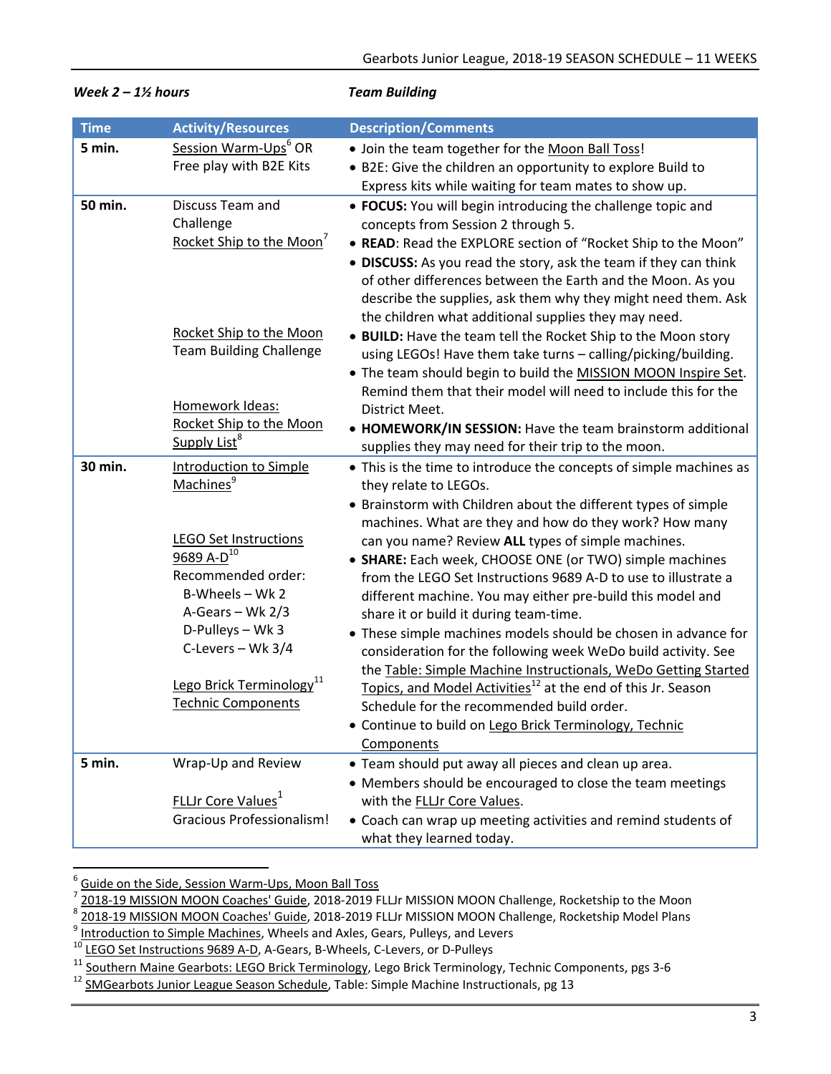| <b>Time</b> | <b>Activity/Resources</b>                                                                                                                           | <b>Description/Comments</b>                                                                                                                                                                                                                                                                                                                                                                                         |
|-------------|-----------------------------------------------------------------------------------------------------------------------------------------------------|---------------------------------------------------------------------------------------------------------------------------------------------------------------------------------------------------------------------------------------------------------------------------------------------------------------------------------------------------------------------------------------------------------------------|
| 5 min.      | Session Warm-Ups <sup>6</sup> OR<br>Free play with B2E Kits                                                                                         | . Join the team together for the Moon Ball Toss!<br>• B2E: Give the children an opportunity to explore Build to<br>Express kits while waiting for team mates to show up.                                                                                                                                                                                                                                            |
| 50 min.     | Discuss Team and<br>Challenge<br>Rocket Ship to the Moon <sup>7</sup>                                                                               | • FOCUS: You will begin introducing the challenge topic and<br>concepts from Session 2 through 5.<br>• READ: Read the EXPLORE section of "Rocket Ship to the Moon"<br>• DISCUSS: As you read the story, ask the team if they can think<br>of other differences between the Earth and the Moon. As you<br>describe the supplies, ask them why they might need them. Ask                                              |
|             | Rocket Ship to the Moon<br><b>Team Building Challenge</b>                                                                                           | the children what additional supplies they may need.<br>• BUILD: Have the team tell the Rocket Ship to the Moon story<br>using LEGOs! Have them take turns - calling/picking/building.<br>. The team should begin to build the MISSION MOON Inspire Set.<br>Remind them that their model will need to include this for the                                                                                          |
|             | Homework Ideas:<br>Rocket Ship to the Moon<br>Supply List <sup>8</sup>                                                                              | District Meet.<br>• HOMEWORK/IN SESSION: Have the team brainstorm additional<br>supplies they may need for their trip to the moon.                                                                                                                                                                                                                                                                                  |
| 30 min.     | <b>Introduction to Simple</b><br>Machines <sup>9</sup>                                                                                              | • This is the time to introduce the concepts of simple machines as<br>they relate to LEGOs.<br>• Brainstorm with Children about the different types of simple                                                                                                                                                                                                                                                       |
|             | <b>LEGO Set Instructions</b><br>$\frac{9689}{0}$ A-D <sup>10</sup><br>Recommended order:<br>B-Wheels - Wk 2<br>A-Gears - Wk 2/3<br>D-Pulleys - Wk 3 | machines. What are they and how do they work? How many<br>can you name? Review ALL types of simple machines.<br>• SHARE: Each week, CHOOSE ONE (or TWO) simple machines<br>from the LEGO Set Instructions 9689 A-D to use to illustrate a<br>different machine. You may either pre-build this model and<br>share it or build it during team-time.<br>• These simple machines models should be chosen in advance for |
|             | C-Levers - Wk 3/4<br>Lego Brick Terminology <sup>11</sup><br><b>Technic Components</b>                                                              | consideration for the following week WeDo build activity. See<br>the Table: Simple Machine Instructionals, WeDo Getting Started<br>Topics, and Model Activities <sup>12</sup> at the end of this Jr. Season<br>Schedule for the recommended build order.<br>• Continue to build on Lego Brick Terminology, Technic<br>Components                                                                                    |
| 5 min.      | Wrap-Up and Review                                                                                                                                  | • Team should put away all pieces and clean up area.<br>• Members should be encouraged to close the team meetings                                                                                                                                                                                                                                                                                                   |
|             | <b>FLLJr Core Values</b> <sup>1</sup><br><b>Gracious Professionalism!</b>                                                                           | with the FLLJr Core Values.<br>• Coach can wrap up meeting activities and remind students of<br>what they learned today.                                                                                                                                                                                                                                                                                            |

## *Week 2 – 1½ hours Team Building*

 6  $\frac{6}{7}$  Guide on the Side, Session Warm-Ups, Moon Ball Toss  $\frac{7}{7}$  2018, 10 MKS (2019, 2019, 2019, 2019, 2019)

 $\frac{7}{2}$  2018-19 MISSION MOON Coaches' Guide, 2018-2019 FLLJr MISSION MOON Challenge, Rocketship to the Moon

<sup>8</sup> 2018-19 MISSION MOON Coaches' Guide, 2018-2019 FLLJr MISSION MOON Challenge, Rocketship Model Plans<br><sup>9</sup> Introduction to Simple Machines, Wheels and Axles, Gears, Pulleys, and Levers

<sup>10</sup> LEGO Set Instructions 9689 A‐D, A‐Gears, B‐Wheels, C‐Levers, or D‐Pulleys

<sup>11</sup> Southern Maine Gearbots: LEGO Brick Terminology, Lego Brick Terminology, Technic Components, pgs 3‐6

<sup>&</sup>lt;sup>12</sup> SMGearbots Junior League Season Schedule, Table: Simple Machine Instructionals, pg 13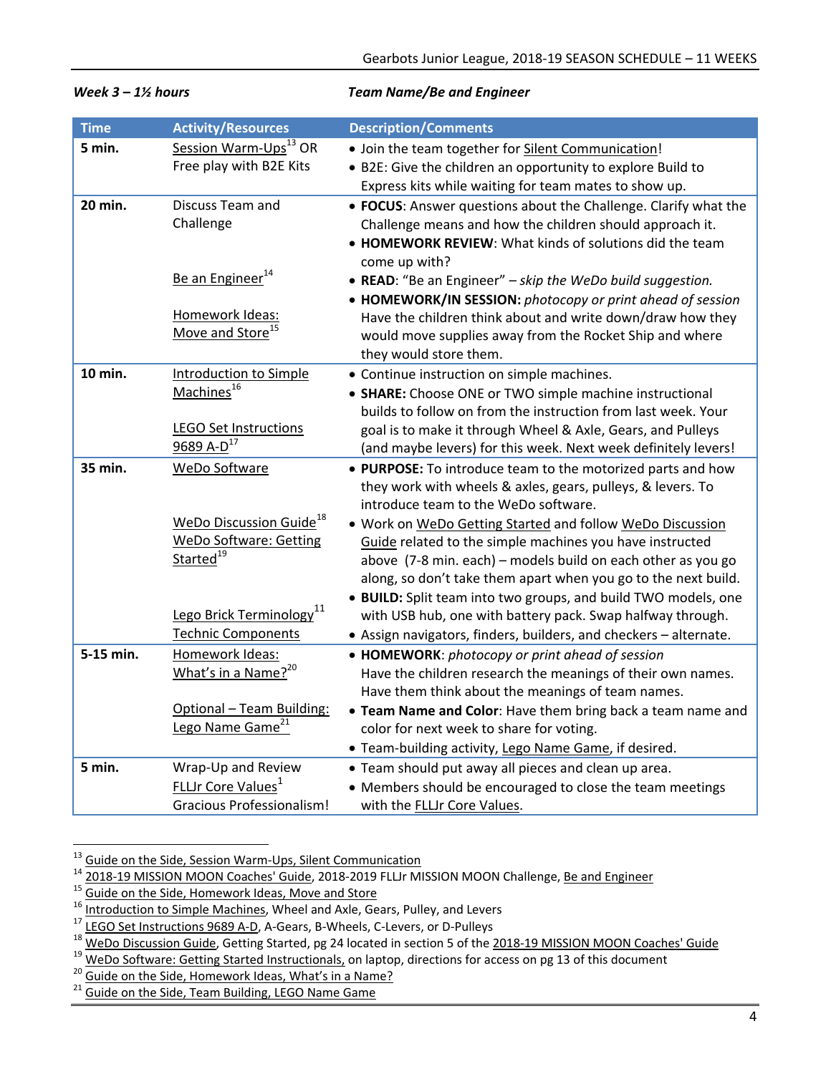| <b>Time</b> | <b>Activity/Resources</b>                                            | <b>Description/Comments</b>                                                                                              |
|-------------|----------------------------------------------------------------------|--------------------------------------------------------------------------------------------------------------------------|
| 5 min.      | Session Warm-Ups <sup>13</sup> OR                                    | . Join the team together for Silent Communication!                                                                       |
|             | Free play with B2E Kits                                              | • B2E: Give the children an opportunity to explore Build to                                                              |
|             |                                                                      | Express kits while waiting for team mates to show up.                                                                    |
| 20 min.     | Discuss Team and                                                     | • FOCUS: Answer questions about the Challenge. Clarify what the                                                          |
|             | Challenge                                                            | Challenge means and how the children should approach it.                                                                 |
|             |                                                                      | • HOMEWORK REVIEW: What kinds of solutions did the team                                                                  |
|             | Be an Engineer <sup>14</sup>                                         | come up with?                                                                                                            |
|             |                                                                      | • READ: "Be an Engineer" - skip the WeDo build suggestion.                                                               |
|             | Homework Ideas:                                                      | • HOMEWORK/IN SESSION: photocopy or print ahead of session<br>Have the children think about and write down/draw how they |
|             | Move and Store <sup>15</sup>                                         | would move supplies away from the Rocket Ship and where                                                                  |
|             |                                                                      | they would store them.                                                                                                   |
| 10 min.     | <b>Introduction to Simple</b>                                        | • Continue instruction on simple machines.                                                                               |
|             | Machines <sup>16</sup>                                               | • SHARE: Choose ONE or TWO simple machine instructional                                                                  |
|             |                                                                      | builds to follow on from the instruction from last week. Your                                                            |
|             | <b>LEGO Set Instructions</b>                                         | goal is to make it through Wheel & Axle, Gears, and Pulleys                                                              |
|             | 9689 A-D <sup>17</sup>                                               | (and maybe levers) for this week. Next week definitely levers!                                                           |
| 35 min.     | WeDo Software                                                        | • PURPOSE: To introduce team to the motorized parts and how                                                              |
|             |                                                                      | they work with wheels & axles, gears, pulleys, & levers. To                                                              |
|             |                                                                      | introduce team to the WeDo software.                                                                                     |
|             | WeDo Discussion Guide <sup>18</sup><br><b>WeDo Software: Getting</b> | . Work on WeDo Getting Started and follow WeDo Discussion                                                                |
|             | Started <sup>19</sup>                                                | Guide related to the simple machines you have instructed<br>above (7-8 min. each) - models build on each other as you go |
|             |                                                                      | along, so don't take them apart when you go to the next build.                                                           |
|             |                                                                      | · BUILD: Split team into two groups, and build TWO models, one                                                           |
|             | Lego Brick Terminology <sup>11</sup>                                 | with USB hub, one with battery pack. Swap halfway through.                                                               |
|             | <b>Technic Components</b>                                            | • Assign navigators, finders, builders, and checkers - alternate.                                                        |
| 5-15 min.   | Homework Ideas:                                                      | • HOMEWORK: photocopy or print ahead of session                                                                          |
|             | What's in a Name? <sup>20</sup>                                      | Have the children research the meanings of their own names.                                                              |
|             |                                                                      | Have them think about the meanings of team names.                                                                        |
|             | Optional - Team Building:                                            | . Team Name and Color: Have them bring back a team name and                                                              |
|             | Lego Name Game <sup>21</sup>                                         | color for next week to share for voting.                                                                                 |
|             |                                                                      | · Team-building activity, Lego Name Game, if desired.                                                                    |
| 5 min.      | Wrap-Up and Review                                                   | • Team should put away all pieces and clean up area.                                                                     |
|             | FLLJr Core Values <sup>1</sup>                                       | • Members should be encouraged to close the team meetings                                                                |
|             | <b>Gracious Professionalism!</b>                                     | with the FLLJr Core Values.                                                                                              |

### *Week 3 – 1½ hours Team Name/Be and Engineer*

<sup>&</sup>lt;sup>13</sup> Guide on the Side, Session Warm-Ups, Silent Communication

<sup>&</sup>lt;sup>14</sup> <u>2018-19 MISSION MOON Coaches' Guide</u>, 2018-2019 FLLJr MISSION MOON Challenge, <u>Be and Engineer</u><br><sup>15</sup> Guide on the Side, Homework Ideas, Move and Store<br><sup>16</sup> Introduction to Simple Machines, Wheel and Axle, Gears, Pull

<sup>&</sup>lt;sup>17</sup> LEGO Set Instructions 9689 A-D, A-Gears, B-Wheels, C-Levers, or D-Pulleys<br><sup>18</sup> WeDo Discussion Guide, Getting Started, pg 24 located in section 5 of the <u>2018-19 MISSION MOON Coaches' Guide</u><br><sup>19</sup> WeDo Software: Getti

<sup>&</sup>lt;sup>21</sup> Guide on the Side, Team Building, LEGO Name Game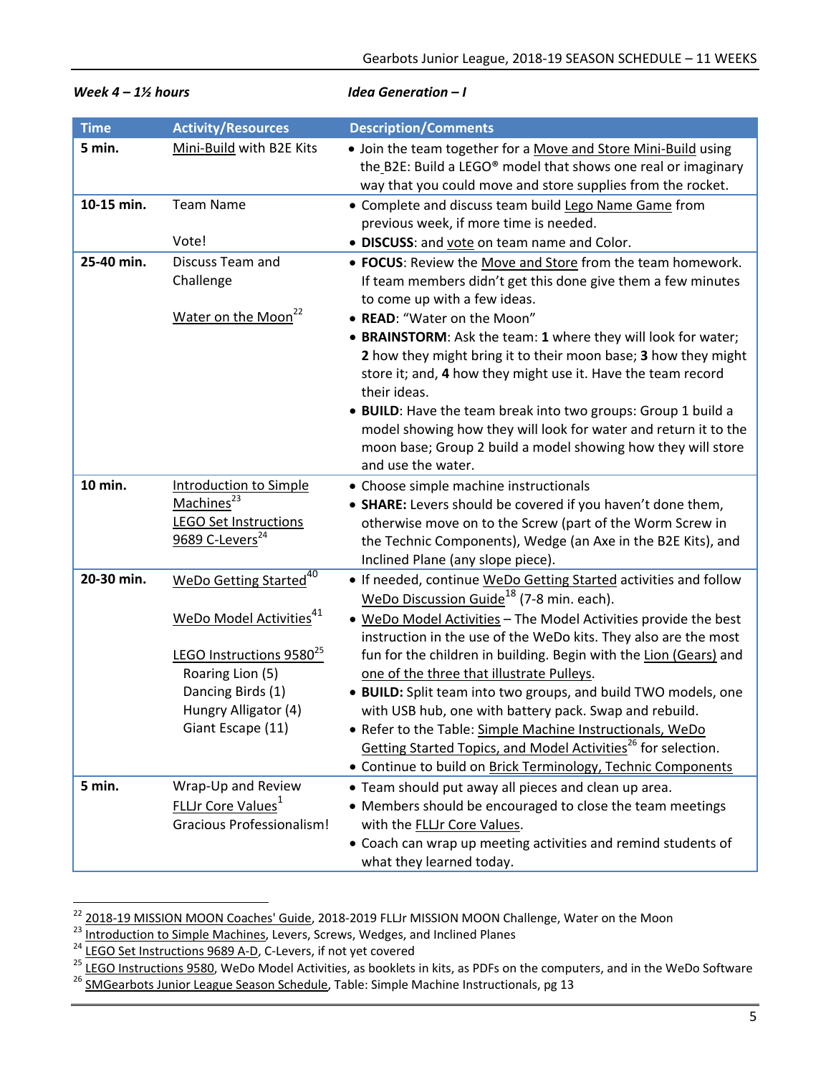| <b>Time</b> | <b>Activity/Resources</b>                                                                                                                                                                               | <b>Description/Comments</b>                                                                                                                                                                                                                                                                                                                                                                                                                                                                                                                                                                                                                                                                                            |
|-------------|---------------------------------------------------------------------------------------------------------------------------------------------------------------------------------------------------------|------------------------------------------------------------------------------------------------------------------------------------------------------------------------------------------------------------------------------------------------------------------------------------------------------------------------------------------------------------------------------------------------------------------------------------------------------------------------------------------------------------------------------------------------------------------------------------------------------------------------------------------------------------------------------------------------------------------------|
| 5 min.      | Mini-Build with B2E Kits                                                                                                                                                                                | . Join the team together for a Move and Store Mini-Build using<br>the B2E: Build a LEGO® model that shows one real or imaginary<br>way that you could move and store supplies from the rocket.                                                                                                                                                                                                                                                                                                                                                                                                                                                                                                                         |
| 10-15 min.  | <b>Team Name</b><br>Vote!                                                                                                                                                                               | • Complete and discuss team build Lego Name Game from<br>previous week, if more time is needed.<br>· DISCUSS: and vote on team name and Color.                                                                                                                                                                                                                                                                                                                                                                                                                                                                                                                                                                         |
| 25-40 min.  | Discuss Team and<br>Challenge                                                                                                                                                                           | • FOCUS: Review the Move and Store from the team homework.<br>If team members didn't get this done give them a few minutes<br>to come up with a few ideas.                                                                                                                                                                                                                                                                                                                                                                                                                                                                                                                                                             |
|             | Water on the Moon <sup>22</sup>                                                                                                                                                                         | • READ: "Water on the Moon"<br>• BRAINSTORM: Ask the team: 1 where they will look for water;<br>2 how they might bring it to their moon base; 3 how they might<br>store it; and, 4 how they might use it. Have the team record<br>their ideas.<br>• BUILD: Have the team break into two groups: Group 1 build a<br>model showing how they will look for water and return it to the<br>moon base; Group 2 build a model showing how they will store<br>and use the water.                                                                                                                                                                                                                                               |
| 10 min.     | Introduction to Simple<br>Machines <sup>23</sup><br><b>LEGO Set Instructions</b><br>9689 C-Levers <sup>24</sup>                                                                                         | • Choose simple machine instructionals<br>• SHARE: Levers should be covered if you haven't done them,<br>otherwise move on to the Screw (part of the Worm Screw in<br>the Technic Components), Wedge (an Axe in the B2E Kits), and<br>Inclined Plane (any slope piece).                                                                                                                                                                                                                                                                                                                                                                                                                                                |
| 20-30 min.  | WeDo Getting Started <sup>40</sup><br>WeDo Model Activities <sup>41</sup><br>LEGO Instructions 9580 <sup>25</sup><br>Roaring Lion (5)<br>Dancing Birds (1)<br>Hungry Alligator (4)<br>Giant Escape (11) | • If needed, continue WeDo Getting Started activities and follow<br>WeDo Discussion Guide <sup>18</sup> (7-8 min. each).<br>. WeDo Model Activities - The Model Activities provide the best<br>instruction in the use of the WeDo kits. They also are the most<br>fun for the children in building. Begin with the Lion (Gears) and<br>one of the three that illustrate Pulleys.<br>· BUILD: Split team into two groups, and build TWO models, one<br>with USB hub, one with battery pack. Swap and rebuild.<br>• Refer to the Table: Simple Machine Instructionals, WeDo<br>Getting Started Topics, and Model Activities <sup>26</sup> for selection.<br>• Continue to build on Brick Terminology, Technic Components |
| 5 min.      | Wrap-Up and Review<br>FLLJr Core Values <sup>1</sup><br><b>Gracious Professionalism!</b>                                                                                                                | • Team should put away all pieces and clean up area.<br>• Members should be encouraged to close the team meetings<br>with the <b>FLLJr Core Values</b> .<br>• Coach can wrap up meeting activities and remind students of<br>what they learned today.                                                                                                                                                                                                                                                                                                                                                                                                                                                                  |

*Week 4 – 1½ hours Idea Generation – I*

<sup>&</sup>lt;sup>22</sup> 2018-19 MISSION MOON Coaches' Guide, 2018-2019 FLLJr MISSION MOON Challenge, Water on the Moon

<sup>&</sup>lt;sup>23</sup> Introduction to Simple Machines, Levers, Screws, Wedges, and Inclined Planes<br><sup>24</sup> LEGO Set Instructions 9689 A-D, C-Levers, if not yet covered

<sup>&</sup>lt;sup>25</sup> LEGO Instructions 9580, WeDo Model Activities, as booklets in kits, as PDFs on the computers, and in the WeDo Software  $\frac{26}{16}$  SMGearbots Junior League Season Schedule, Table: Simple Machine Instructionals, pg 13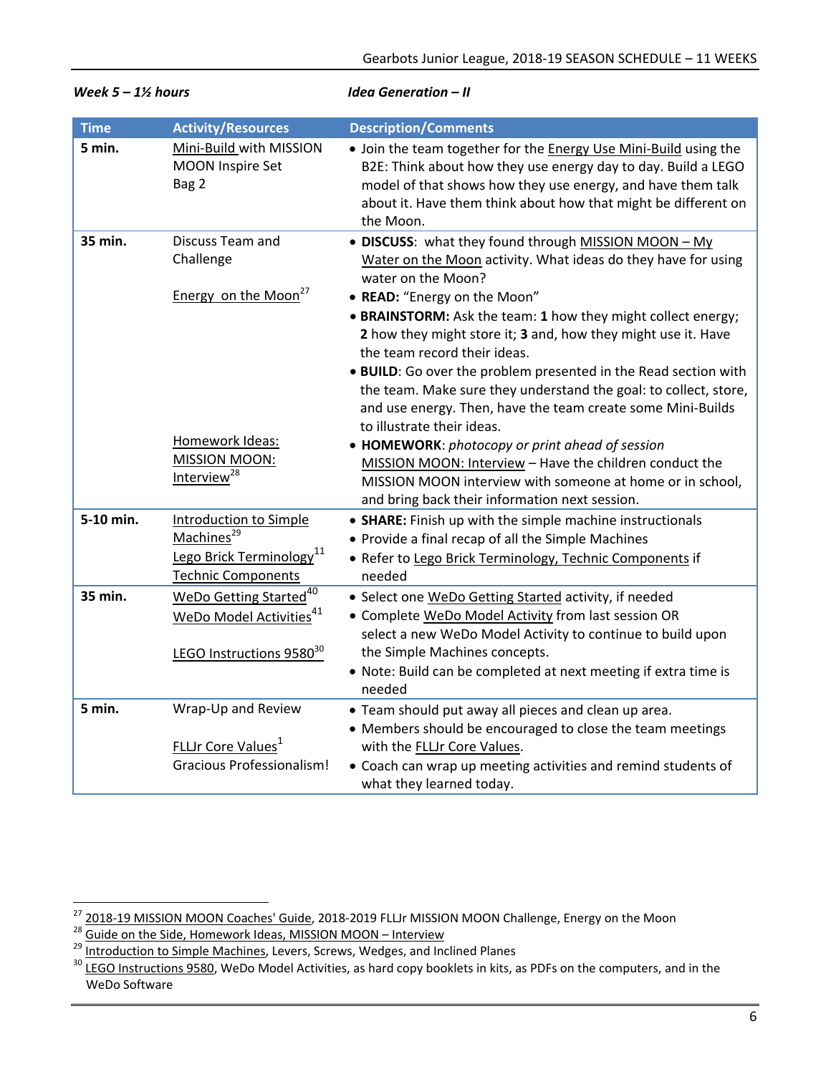| <b>Time</b> | <b>Activity/Resources</b>                                                                                                    | <b>Description/Comments</b>                                                                                                                                                                                                                                                            |
|-------------|------------------------------------------------------------------------------------------------------------------------------|----------------------------------------------------------------------------------------------------------------------------------------------------------------------------------------------------------------------------------------------------------------------------------------|
| 5 min.      | Mini-Build with MISSION<br><b>MOON Inspire Set</b><br>Bag 2                                                                  | . Join the team together for the <b>Energy Use Mini-Build</b> using the<br>B2E: Think about how they use energy day to day. Build a LEGO<br>model of that shows how they use energy, and have them talk<br>about it. Have them think about how that might be different on<br>the Moon. |
| 35 min.     | Discuss Team and<br>Challenge                                                                                                | • DISCUSS: what they found through MISSION MOON - My<br>Water on the Moon activity. What ideas do they have for using<br>water on the Moon?                                                                                                                                            |
|             | Energy on the Moon <sup>27</sup>                                                                                             | • READ: "Energy on the Moon"<br>• BRAINSTORM: Ask the team: 1 how they might collect energy;<br>2 how they might store it; 3 and, how they might use it. Have                                                                                                                          |
|             |                                                                                                                              | the team record their ideas.<br>. BUILD: Go over the problem presented in the Read section with<br>the team. Make sure they understand the goal: to collect, store,<br>and use energy. Then, have the team create some Mini-Builds<br>to illustrate their ideas.                       |
|             | Homework Ideas:<br>MISSION MOON:<br>Interview <sup>28</sup>                                                                  | • HOMEWORK: photocopy or print ahead of session<br>MISSION MOON: Interview - Have the children conduct the<br>MISSION MOON interview with someone at home or in school,<br>and bring back their information next session.                                                              |
| 5-10 min.   | <b>Introduction to Simple</b><br>Machines <sup>29</sup><br>Lego Brick Terminology <sup>11</sup><br><b>Technic Components</b> | • SHARE: Finish up with the simple machine instructionals<br>• Provide a final recap of all the Simple Machines<br>· Refer to Lego Brick Terminology, Technic Components if<br>needed                                                                                                  |
| 35 min.     | WeDo Getting Started <sup>40</sup><br>WeDo Model Activities <sup>41</sup>                                                    | • Select one WeDo Getting Started activity, if needed<br>• Complete WeDo Model Activity from last session OR<br>select a new WeDo Model Activity to continue to build upon                                                                                                             |
|             | LEGO Instructions 9580 <sup>30</sup>                                                                                         | the Simple Machines concepts.<br>. Note: Build can be completed at next meeting if extra time is<br>needed                                                                                                                                                                             |
| 5 min.      | Wrap-Up and Review                                                                                                           | • Team should put away all pieces and clean up area.<br>• Members should be encouraged to close the team meetings                                                                                                                                                                      |
|             | FLLJr Core Values <sup>1</sup>                                                                                               | with the FLLJr Core Values.                                                                                                                                                                                                                                                            |
|             | <b>Gracious Professionalism!</b>                                                                                             | • Coach can wrap up meeting activities and remind students of<br>what they learned today.                                                                                                                                                                                              |

*Week 5 – 1½ hours Idea Generation – II*

<sup>&</sup>lt;sup>27</sup> 2018-19 MISSION MOON Coaches' Guide, 2018-2019 FLLJr MISSION MOON Challenge, Energy on the Moon<br><sup>28</sup> Guide on the Side, Homework Ideas, MISSION MOON – Interview

<sup>&</sup>lt;sup>29</sup> Introduction to Simple Machines, Levers, Screws, Wedges, and Inclined Planes<br><sup>30</sup> LEGO Instructions 9580, WeDo Model Activities, as hard copy booklets in kits, as PDFs on the computers, and in the WeDo Software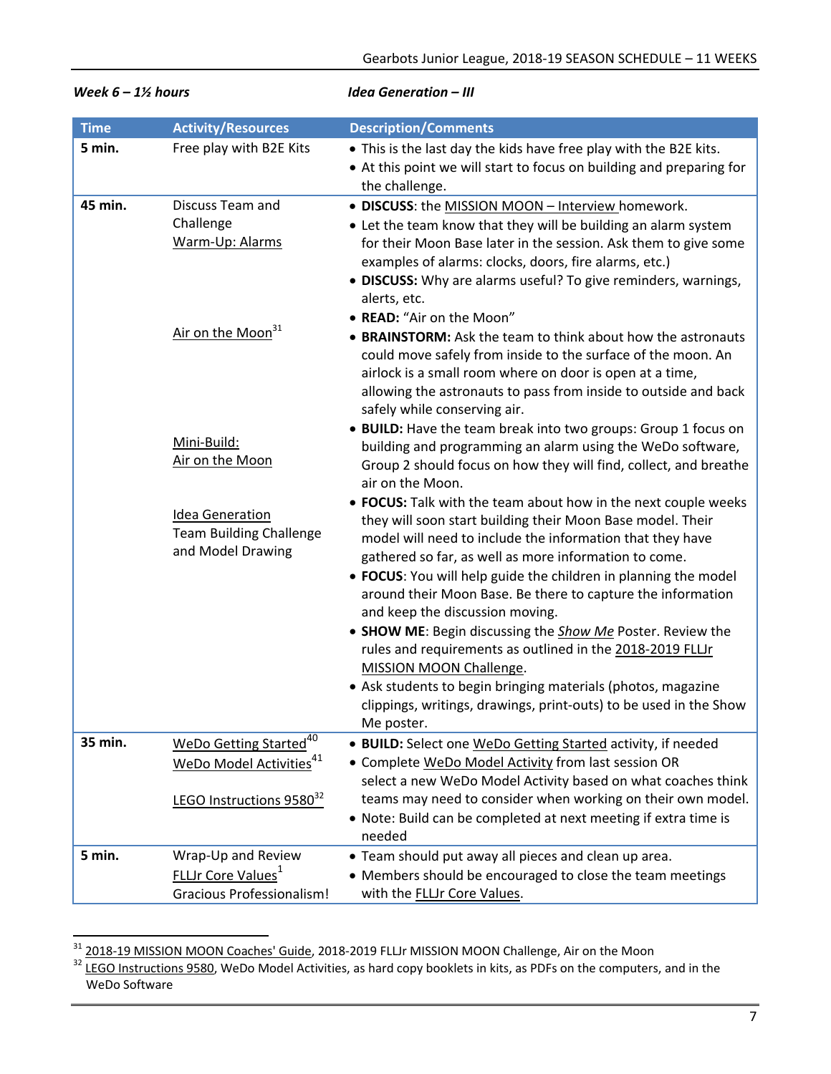| <b>Time</b> | <b>Activity/Resources</b>                                                                                         | <b>Description/Comments</b>                                                                                                                                                                                                                                                                                                                                                                                                                                                                  |
|-------------|-------------------------------------------------------------------------------------------------------------------|----------------------------------------------------------------------------------------------------------------------------------------------------------------------------------------------------------------------------------------------------------------------------------------------------------------------------------------------------------------------------------------------------------------------------------------------------------------------------------------------|
| 5 min.      | Free play with B2E Kits                                                                                           | . This is the last day the kids have free play with the B2E kits.<br>• At this point we will start to focus on building and preparing for<br>the challenge.                                                                                                                                                                                                                                                                                                                                  |
| 45 min.     | Discuss Team and<br>Challenge<br>Warm-Up: Alarms                                                                  | · DISCUSS: the MISSION MOON - Interview homework.<br>• Let the team know that they will be building an alarm system<br>for their Moon Base later in the session. Ask them to give some<br>examples of alarms: clocks, doors, fire alarms, etc.)<br>• DISCUSS: Why are alarms useful? To give reminders, warnings,<br>alerts, etc.                                                                                                                                                            |
|             | Air on the Moon <sup>31</sup>                                                                                     | • READ: "Air on the Moon"<br>• BRAINSTORM: Ask the team to think about how the astronauts<br>could move safely from inside to the surface of the moon. An<br>airlock is a small room where on door is open at a time,<br>allowing the astronauts to pass from inside to outside and back                                                                                                                                                                                                     |
|             | Mini-Build:<br>Air on the Moon                                                                                    | safely while conserving air.<br>• BUILD: Have the team break into two groups: Group 1 focus on<br>building and programming an alarm using the WeDo software,<br>Group 2 should focus on how they will find, collect, and breathe<br>air on the Moon.                                                                                                                                                                                                                                         |
|             | <b>Idea Generation</b><br><b>Team Building Challenge</b><br>and Model Drawing                                     | • FOCUS: Talk with the team about how in the next couple weeks<br>they will soon start building their Moon Base model. Their<br>model will need to include the information that they have<br>gathered so far, as well as more information to come.<br>• FOCUS: You will help guide the children in planning the model<br>around their Moon Base. Be there to capture the information<br>and keep the discussion moving.<br>• SHOW ME: Begin discussing the <b>Show Me</b> Poster. Review the |
|             |                                                                                                                   | rules and requirements as outlined in the 2018-2019 FLLJr<br>MISSION MOON Challenge.<br>• Ask students to begin bringing materials (photos, magazine<br>clippings, writings, drawings, print-outs) to be used in the Show<br>Me poster.                                                                                                                                                                                                                                                      |
| 35 min.     | WeDo Getting Started <sup>40</sup><br>WeDo Model Activities <sup>41</sup><br>LEGO Instructions 9580 <sup>32</sup> | • BUILD: Select one WeDo Getting Started activity, if needed<br>• Complete WeDo Model Activity from last session OR<br>select a new WeDo Model Activity based on what coaches think<br>teams may need to consider when working on their own model.<br>• Note: Build can be completed at next meeting if extra time is<br>needed                                                                                                                                                              |
| 5 min.      | Wrap-Up and Review<br><b>FLLJr Core Values</b> <sup>1</sup><br><b>Gracious Professionalism!</b>                   | • Team should put away all pieces and clean up area.<br>• Members should be encouraged to close the team meetings<br>with the FLLJr Core Values.                                                                                                                                                                                                                                                                                                                                             |

### *Week 6 – 1½ hours Idea Generation – III*

<sup>&</sup>lt;sup>31</sup> 2018-19 MISSION MOON Coaches' Guide, 2018-2019 FLLJr MISSION MOON Challenge, Air on the Moon<br><sup>32</sup> LEGO Instructions 9580, WeDo Model Activities, as hard copy booklets in kits, as PDFs on the computers, and in the WeDo Software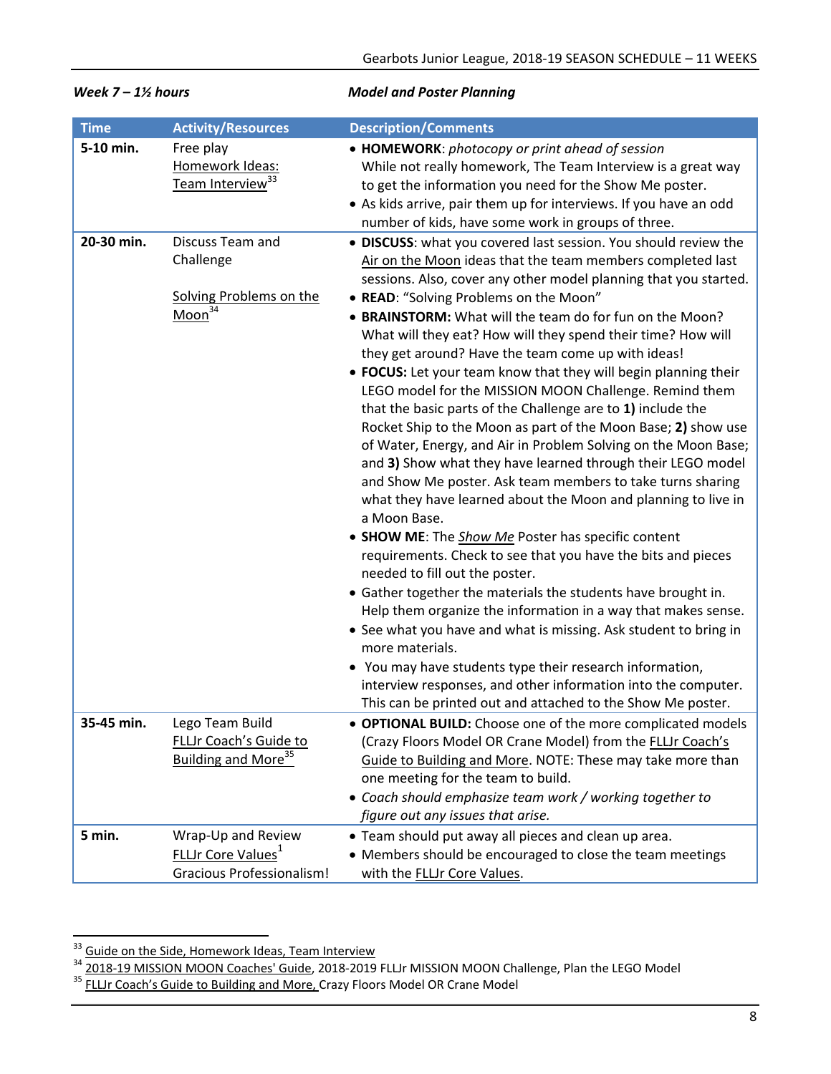| <b>Time</b> | <b>Activity/Resources</b>                                                                       | <b>Description/Comments</b>                                                                                                                                                                                                                                                                                                                                                                                                                                                                                                                                                                                                                                                                                                                                                                                                                                                                                                                                                                                                                                                                                                                                                                                                                                                                                                                                                                                                                                                                                                                                    |
|-------------|-------------------------------------------------------------------------------------------------|----------------------------------------------------------------------------------------------------------------------------------------------------------------------------------------------------------------------------------------------------------------------------------------------------------------------------------------------------------------------------------------------------------------------------------------------------------------------------------------------------------------------------------------------------------------------------------------------------------------------------------------------------------------------------------------------------------------------------------------------------------------------------------------------------------------------------------------------------------------------------------------------------------------------------------------------------------------------------------------------------------------------------------------------------------------------------------------------------------------------------------------------------------------------------------------------------------------------------------------------------------------------------------------------------------------------------------------------------------------------------------------------------------------------------------------------------------------------------------------------------------------------------------------------------------------|
| 5-10 min.   | Free play<br>Homework Ideas:<br>Team Interview <sup>33</sup>                                    | • HOMEWORK: photocopy or print ahead of session<br>While not really homework, The Team Interview is a great way<br>to get the information you need for the Show Me poster.<br>• As kids arrive, pair them up for interviews. If you have an odd<br>number of kids, have some work in groups of three.                                                                                                                                                                                                                                                                                                                                                                                                                                                                                                                                                                                                                                                                                                                                                                                                                                                                                                                                                                                                                                                                                                                                                                                                                                                          |
| 20-30 min.  | Discuss Team and<br>Challenge<br>Solving Problems on the<br>Moon <sup>34</sup>                  | · DISCUSS: what you covered last session. You should review the<br>Air on the Moon ideas that the team members completed last<br>sessions. Also, cover any other model planning that you started.<br>• READ: "Solving Problems on the Moon"<br>• BRAINSTORM: What will the team do for fun on the Moon?<br>What will they eat? How will they spend their time? How will<br>they get around? Have the team come up with ideas!<br>• FOCUS: Let your team know that they will begin planning their<br>LEGO model for the MISSION MOON Challenge. Remind them<br>that the basic parts of the Challenge are to 1) include the<br>Rocket Ship to the Moon as part of the Moon Base; 2) show use<br>of Water, Energy, and Air in Problem Solving on the Moon Base;<br>and 3) Show what they have learned through their LEGO model<br>and Show Me poster. Ask team members to take turns sharing<br>what they have learned about the Moon and planning to live in<br>a Moon Base.<br>• SHOW ME: The <b>Show Me</b> Poster has specific content<br>requirements. Check to see that you have the bits and pieces<br>needed to fill out the poster.<br>• Gather together the materials the students have brought in.<br>Help them organize the information in a way that makes sense.<br>• See what you have and what is missing. Ask student to bring in<br>more materials.<br>• You may have students type their research information,<br>interview responses, and other information into the computer.<br>This can be printed out and attached to the Show Me poster. |
| 35-45 min.  | Lego Team Build<br><b>FLLJr Coach's Guide to</b><br>Building and More <sup>35</sup>             | <b>OPTIONAL BUILD:</b> Choose one of the more complicated models<br>(Crazy Floors Model OR Crane Model) from the FLLJr Coach's<br>Guide to Building and More. NOTE: These may take more than<br>one meeting for the team to build.<br>• Coach should emphasize team work / working together to<br>figure out any issues that arise.                                                                                                                                                                                                                                                                                                                                                                                                                                                                                                                                                                                                                                                                                                                                                                                                                                                                                                                                                                                                                                                                                                                                                                                                                            |
| 5 min.      | Wrap-Up and Review<br><b>FLLJr Core Values</b> <sup>1</sup><br><b>Gracious Professionalism!</b> | • Team should put away all pieces and clean up area.<br>• Members should be encouraged to close the team meetings<br>with the FLLJr Core Values.                                                                                                                                                                                                                                                                                                                                                                                                                                                                                                                                                                                                                                                                                                                                                                                                                                                                                                                                                                                                                                                                                                                                                                                                                                                                                                                                                                                                               |

# *Week 7 – 1½ hours Model and Poster Planning*

 <sup>33</sup> Guide on the Side, Homework Ideas, Team Interview

<sup>&</sup>lt;sup>34</sup> 2018-19 MISSION MOON Coaches' Guide, 2018-2019 FLLJr MISSION MOON Challenge, Plan the LEGO Model<br><sup>35</sup> FLLJr Coach's Guide to Building and More, Crazy Floors Model OR Crane Model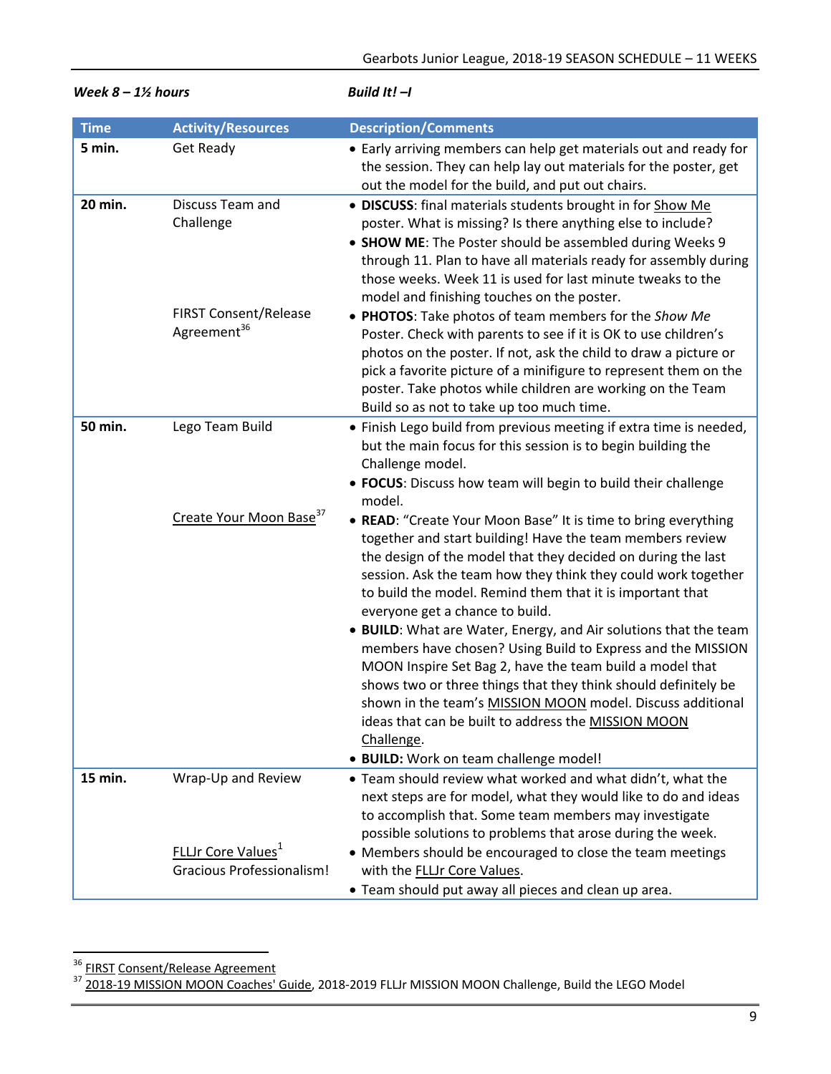| $\alpha$ o $-$ 1/2 nours |                                                         | <i>DUIIU IL! –I</i>                                                                                                                                                                                                                                                                                                                                                                              |  |
|--------------------------|---------------------------------------------------------|--------------------------------------------------------------------------------------------------------------------------------------------------------------------------------------------------------------------------------------------------------------------------------------------------------------------------------------------------------------------------------------------------|--|
| <b>Time</b>              | <b>Activity/Resources</b>                               | <b>Description/Comments</b>                                                                                                                                                                                                                                                                                                                                                                      |  |
| 5 min.                   | Get Ready                                               | • Early arriving members can help get materials out and ready for<br>the session. They can help lay out materials for the poster, get<br>out the model for the build, and put out chairs.                                                                                                                                                                                                        |  |
| 20 min.                  | Discuss Team and<br>Challenge                           | · DISCUSS: final materials students brought in for Show Me<br>poster. What is missing? Is there anything else to include?<br>• SHOW ME: The Poster should be assembled during Weeks 9<br>through 11. Plan to have all materials ready for assembly during<br>those weeks. Week 11 is used for last minute tweaks to the<br>model and finishing touches on the poster.                            |  |
|                          | <b>FIRST Consent/Release</b><br>Agreement <sup>36</sup> | • PHOTOS: Take photos of team members for the Show Me<br>Poster. Check with parents to see if it is OK to use children's<br>photos on the poster. If not, ask the child to draw a picture or<br>pick a favorite picture of a minifigure to represent them on the<br>poster. Take photos while children are working on the Team<br>Build so as not to take up too much time.                      |  |
| 50 min.                  | Lego Team Build                                         | • Finish Lego build from previous meeting if extra time is needed,<br>but the main focus for this session is to begin building the<br>Challenge model.<br>• FOCUS: Discuss how team will begin to build their challenge<br>model.                                                                                                                                                                |  |
|                          | Create Your Moon Base <sup>37</sup>                     | • READ: "Create Your Moon Base" It is time to bring everything<br>together and start building! Have the team members review<br>the design of the model that they decided on during the last<br>session. Ask the team how they think they could work together<br>to build the model. Remind them that it is important that<br>everyone get a chance to build.                                     |  |
|                          |                                                         | • BUILD: What are Water, Energy, and Air solutions that the team<br>members have chosen? Using Build to Express and the MISSION<br>MOON Inspire Set Bag 2, have the team build a model that<br>shows two or three things that they think should definitely be<br>shown in the team's MISSION MOON model. Discuss additional<br>ideas that can be built to address the MISSION MOON<br>Challenge. |  |
|                          |                                                         | · BUILD: Work on team challenge model!                                                                                                                                                                                                                                                                                                                                                           |  |
| 15 min.                  | Wrap-Up and Review                                      | . Team should review what worked and what didn't, what the<br>next steps are for model, what they would like to do and ideas<br>to accomplish that. Some team members may investigate<br>possible solutions to problems that arose during the week.                                                                                                                                              |  |
|                          | FLLJr Core Values <sup>1</sup>                          | • Members should be encouraged to close the team meetings                                                                                                                                                                                                                                                                                                                                        |  |
|                          | <b>Gracious Professionalism!</b>                        | with the FLLJr Core Values.<br>• Team should put away all pieces and clean up area.                                                                                                                                                                                                                                                                                                              |  |

*Week 8 – 1½ hours Build It! –I*

 <sup>36</sup> FIRST Consent/Release Agreement

<sup>&</sup>lt;sup>37</sup> 2018-19 MISSION MOON Coaches' Guide, 2018-2019 FLLJr MISSION MOON Challenge, Build the LEGO Model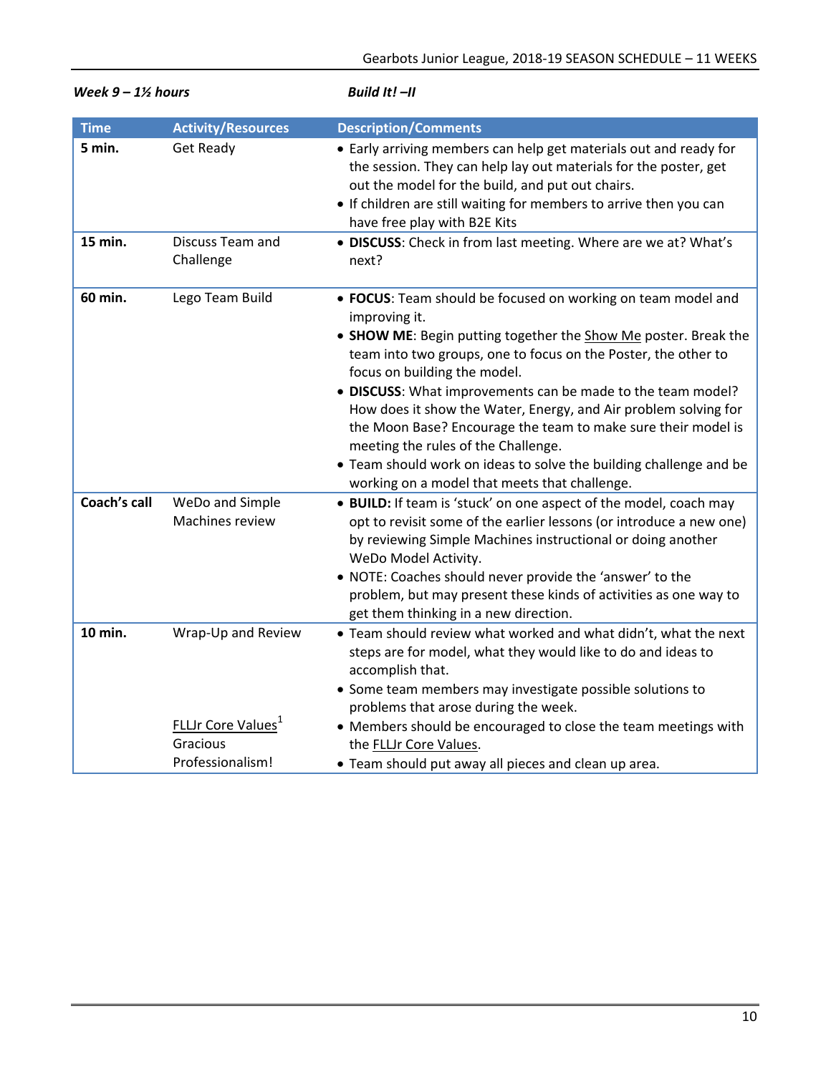| weeк 9 – 1½ nours |                                                                                | Build It! –II                                                                                                                                                                                                                                                                                                                                                                                                                                                                                                                                                                                                       |  |
|-------------------|--------------------------------------------------------------------------------|---------------------------------------------------------------------------------------------------------------------------------------------------------------------------------------------------------------------------------------------------------------------------------------------------------------------------------------------------------------------------------------------------------------------------------------------------------------------------------------------------------------------------------------------------------------------------------------------------------------------|--|
| <b>Time</b>       | <b>Activity/Resources</b>                                                      | <b>Description/Comments</b>                                                                                                                                                                                                                                                                                                                                                                                                                                                                                                                                                                                         |  |
| 5 min.            | Get Ready                                                                      | • Early arriving members can help get materials out and ready for<br>the session. They can help lay out materials for the poster, get<br>out the model for the build, and put out chairs.<br>• If children are still waiting for members to arrive then you can<br>have free play with B2E Kits                                                                                                                                                                                                                                                                                                                     |  |
| 15 min.           | Discuss Team and<br>Challenge                                                  | • DISCUSS: Check in from last meeting. Where are we at? What's<br>next?                                                                                                                                                                                                                                                                                                                                                                                                                                                                                                                                             |  |
| 60 min.           | Lego Team Build                                                                | • FOCUS: Team should be focused on working on team model and<br>improving it.<br>• SHOW ME: Begin putting together the Show Me poster. Break the<br>team into two groups, one to focus on the Poster, the other to<br>focus on building the model.<br>. DISCUSS: What improvements can be made to the team model?<br>How does it show the Water, Energy, and Air problem solving for<br>the Moon Base? Encourage the team to make sure their model is<br>meeting the rules of the Challenge.<br>• Team should work on ideas to solve the building challenge and be<br>working on a model that meets that challenge. |  |
| Coach's call      | WeDo and Simple<br>Machines review                                             | • BUILD: If team is 'stuck' on one aspect of the model, coach may<br>opt to revisit some of the earlier lessons (or introduce a new one)<br>by reviewing Simple Machines instructional or doing another<br>WeDo Model Activity.<br>. NOTE: Coaches should never provide the 'answer' to the<br>problem, but may present these kinds of activities as one way to<br>get them thinking in a new direction.                                                                                                                                                                                                            |  |
| 10 min.           | Wrap-Up and Review<br><b>FLLJr Core Values</b><br>Gracious<br>Professionalism! | . Team should review what worked and what didn't, what the next<br>steps are for model, what they would like to do and ideas to<br>accomplish that.<br>• Some team members may investigate possible solutions to<br>problems that arose during the week.<br>• Members should be encouraged to close the team meetings with<br>the FLLJr Core Values.<br>• Team should put away all pieces and clean up area.                                                                                                                                                                                                        |  |

*Week 9 – 1½ hours Build It! –II*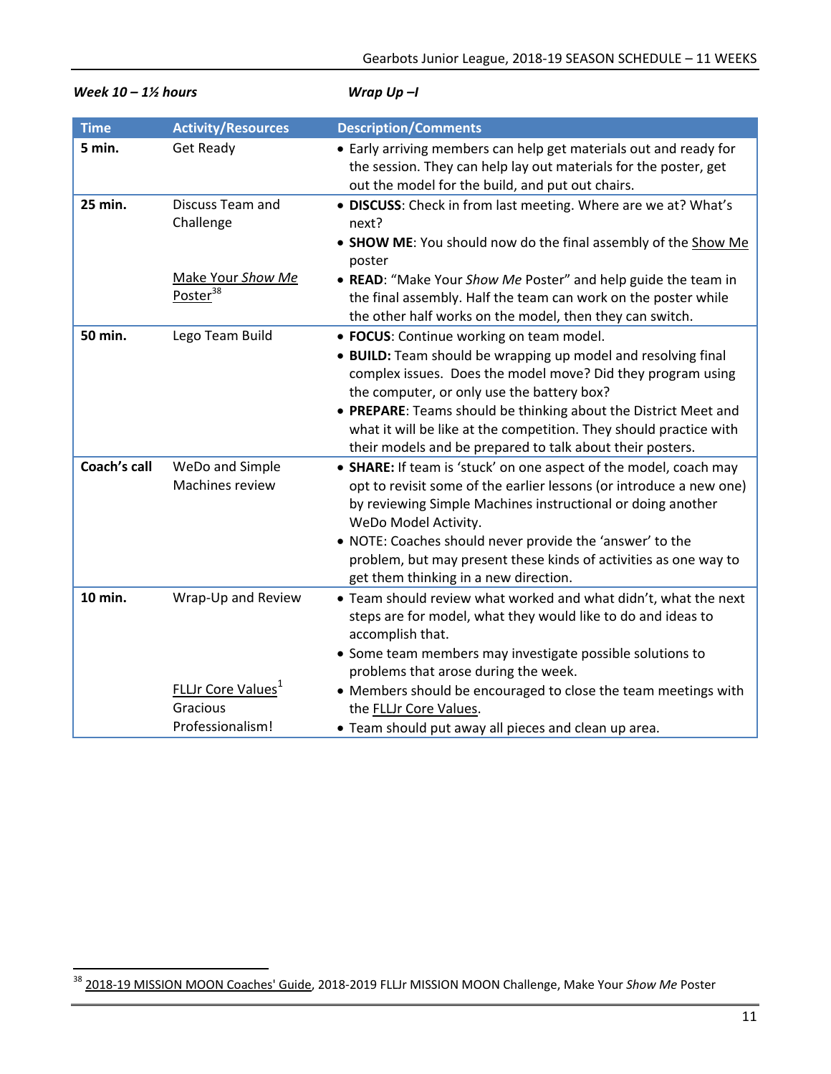| UVCCK 10 – 1/2 IIUUI 3 |                                                                                      | $v$ rup $v$ p $-$ r                                                                                                                                                                                                                                                                                                                                                                                                          |  |
|------------------------|--------------------------------------------------------------------------------------|------------------------------------------------------------------------------------------------------------------------------------------------------------------------------------------------------------------------------------------------------------------------------------------------------------------------------------------------------------------------------------------------------------------------------|--|
| <b>Time</b>            | <b>Activity/Resources</b>                                                            | <b>Description/Comments</b>                                                                                                                                                                                                                                                                                                                                                                                                  |  |
| 5 min.                 | <b>Get Ready</b>                                                                     | • Early arriving members can help get materials out and ready for<br>the session. They can help lay out materials for the poster, get<br>out the model for the build, and put out chairs.                                                                                                                                                                                                                                    |  |
| 25 min.                | Discuss Team and<br>Challenge                                                        | • DISCUSS: Check in from last meeting. Where are we at? What's<br>next?<br>• SHOW ME: You should now do the final assembly of the Show Me<br>poster                                                                                                                                                                                                                                                                          |  |
|                        | Make Your Show Me<br>Poster <sup>38</sup>                                            | • READ: "Make Your Show Me Poster" and help guide the team in<br>the final assembly. Half the team can work on the poster while<br>the other half works on the model, then they can switch.                                                                                                                                                                                                                                  |  |
| 50 min.                | Lego Team Build                                                                      | • FOCUS: Continue working on team model.<br>• BUILD: Team should be wrapping up model and resolving final<br>complex issues. Does the model move? Did they program using<br>the computer, or only use the battery box?<br>• PREPARE: Teams should be thinking about the District Meet and<br>what it will be like at the competition. They should practice with<br>their models and be prepared to talk about their posters. |  |
| <b>Coach's call</b>    | WeDo and Simple<br>Machines review                                                   | • SHARE: If team is 'stuck' on one aspect of the model, coach may<br>opt to revisit some of the earlier lessons (or introduce a new one)<br>by reviewing Simple Machines instructional or doing another<br>WeDo Model Activity.<br>. NOTE: Coaches should never provide the 'answer' to the<br>problem, but may present these kinds of activities as one way to<br>get them thinking in a new direction.                     |  |
| 10 min.                | Wrap-Up and Review<br>FLLJr Core Values <sup>1</sup><br>Gracious<br>Professionalism! | . Team should review what worked and what didn't, what the next<br>steps are for model, what they would like to do and ideas to<br>accomplish that.<br>• Some team members may investigate possible solutions to<br>problems that arose during the week.<br>• Members should be encouraged to close the team meetings with<br>the FLLJr Core Values.<br>• Team should put away all pieces and clean up area.                 |  |

*Week 10 – 1½ hours Wrap Up –I* 

<sup>&</sup>lt;sup>38</sup> 2018-19 MISSION MOON Coaches' Guide, 2018-2019 FLLJr MISSION MOON Challenge, Make Your *Show Me* Poster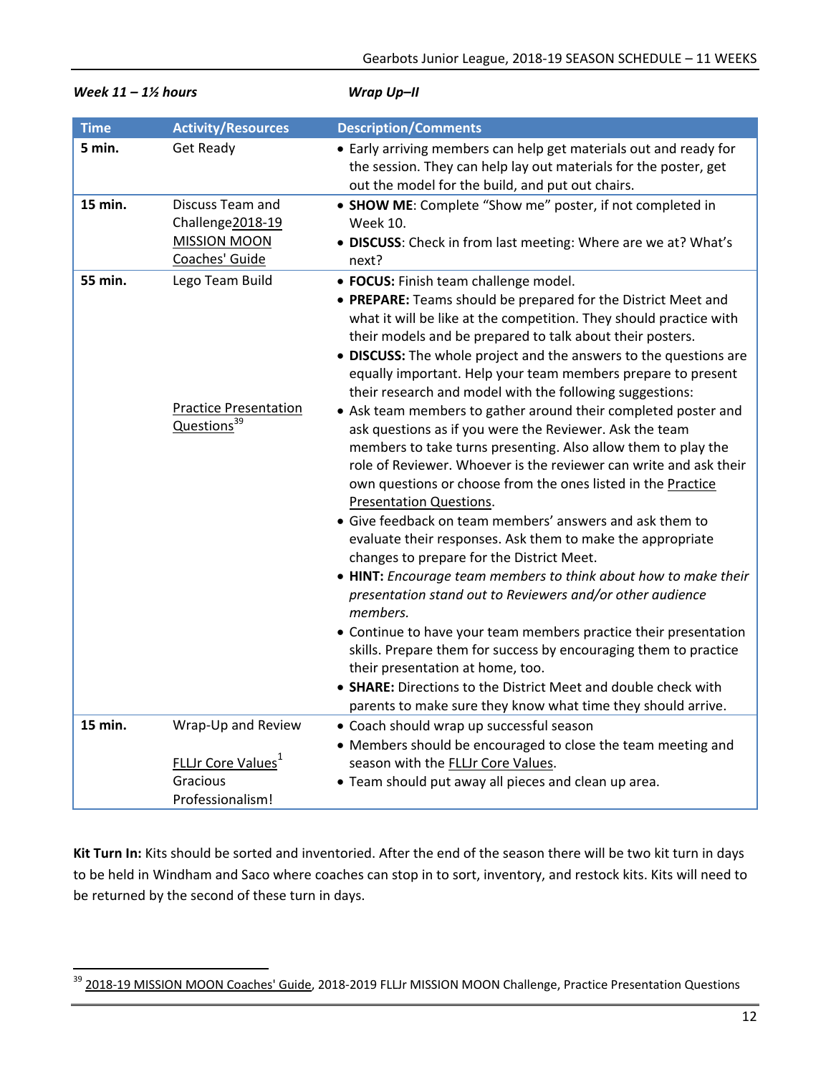| week $II - I/2$ nours |                                                                               | wrap Up-II                                                                                                                                                                                                                                                                                                                                                                                                                                                                                                                                                                                                                                                                                                                                                                                                                                                                                                                                                                                                                                                                                                                                                                                                                                                                                                                                                                                                                                |
|-----------------------|-------------------------------------------------------------------------------|-------------------------------------------------------------------------------------------------------------------------------------------------------------------------------------------------------------------------------------------------------------------------------------------------------------------------------------------------------------------------------------------------------------------------------------------------------------------------------------------------------------------------------------------------------------------------------------------------------------------------------------------------------------------------------------------------------------------------------------------------------------------------------------------------------------------------------------------------------------------------------------------------------------------------------------------------------------------------------------------------------------------------------------------------------------------------------------------------------------------------------------------------------------------------------------------------------------------------------------------------------------------------------------------------------------------------------------------------------------------------------------------------------------------------------------------|
| <b>Time</b>           | <b>Activity/Resources</b>                                                     | <b>Description/Comments</b>                                                                                                                                                                                                                                                                                                                                                                                                                                                                                                                                                                                                                                                                                                                                                                                                                                                                                                                                                                                                                                                                                                                                                                                                                                                                                                                                                                                                               |
| 5 min.                | <b>Get Ready</b>                                                              | • Early arriving members can help get materials out and ready for<br>the session. They can help lay out materials for the poster, get<br>out the model for the build, and put out chairs.                                                                                                                                                                                                                                                                                                                                                                                                                                                                                                                                                                                                                                                                                                                                                                                                                                                                                                                                                                                                                                                                                                                                                                                                                                                 |
| 15 min.               | Discuss Team and<br>Challenge2018-19<br><b>MISSION MOON</b><br>Coaches' Guide | • SHOW ME: Complete "Show me" poster, if not completed in<br><b>Week 10.</b><br>• DISCUSS: Check in from last meeting: Where are we at? What's<br>next?                                                                                                                                                                                                                                                                                                                                                                                                                                                                                                                                                                                                                                                                                                                                                                                                                                                                                                                                                                                                                                                                                                                                                                                                                                                                                   |
| 55 min.               | Lego Team Build<br><b>Practice Presentation</b><br>Questions <sup>39</sup>    | · FOCUS: Finish team challenge model.<br>• PREPARE: Teams should be prepared for the District Meet and<br>what it will be like at the competition. They should practice with<br>their models and be prepared to talk about their posters.<br>• DISCUSS: The whole project and the answers to the questions are<br>equally important. Help your team members prepare to present<br>their research and model with the following suggestions:<br>• Ask team members to gather around their completed poster and<br>ask questions as if you were the Reviewer. Ask the team<br>members to take turns presenting. Also allow them to play the<br>role of Reviewer. Whoever is the reviewer can write and ask their<br>own questions or choose from the ones listed in the Practice<br>Presentation Questions.<br>• Give feedback on team members' answers and ask them to<br>evaluate their responses. Ask them to make the appropriate<br>changes to prepare for the District Meet.<br>• HINT: Encourage team members to think about how to make their<br>presentation stand out to Reviewers and/or other audience<br>members.<br>• Continue to have your team members practice their presentation<br>skills. Prepare them for success by encouraging them to practice<br>their presentation at home, too.<br>• SHARE: Directions to the District Meet and double check with<br>parents to make sure they know what time they should arrive. |
| 15 min.               | Wrap-Up and Review                                                            | • Coach should wrap up successful season<br>• Members should be encouraged to close the team meeting and                                                                                                                                                                                                                                                                                                                                                                                                                                                                                                                                                                                                                                                                                                                                                                                                                                                                                                                                                                                                                                                                                                                                                                                                                                                                                                                                  |
|                       | <b>FLLJr Core Values</b> <sup>1</sup><br>Gracious<br>Professionalism!         | season with the FLLJr Core Values.<br>• Team should put away all pieces and clean up area.                                                                                                                                                                                                                                                                                                                                                                                                                                                                                                                                                                                                                                                                                                                                                                                                                                                                                                                                                                                                                                                                                                                                                                                                                                                                                                                                                |

*Week 11 – 1½ hours Wrap Up–II* 

**Kit Turn In:** Kits should be sorted and inventoried. After the end of the season there will be two kit turn in days to be held in Windham and Saco where coaches can stop in to sort, inventory, and restock kits. Kits will need to be returned by the second of these turn in days.

 <sup>39</sup> 2018-19 MISSION MOON Coaches' Guide, 2018-2019 FLLJr MISSION MOON Challenge, Practice Presentation Questions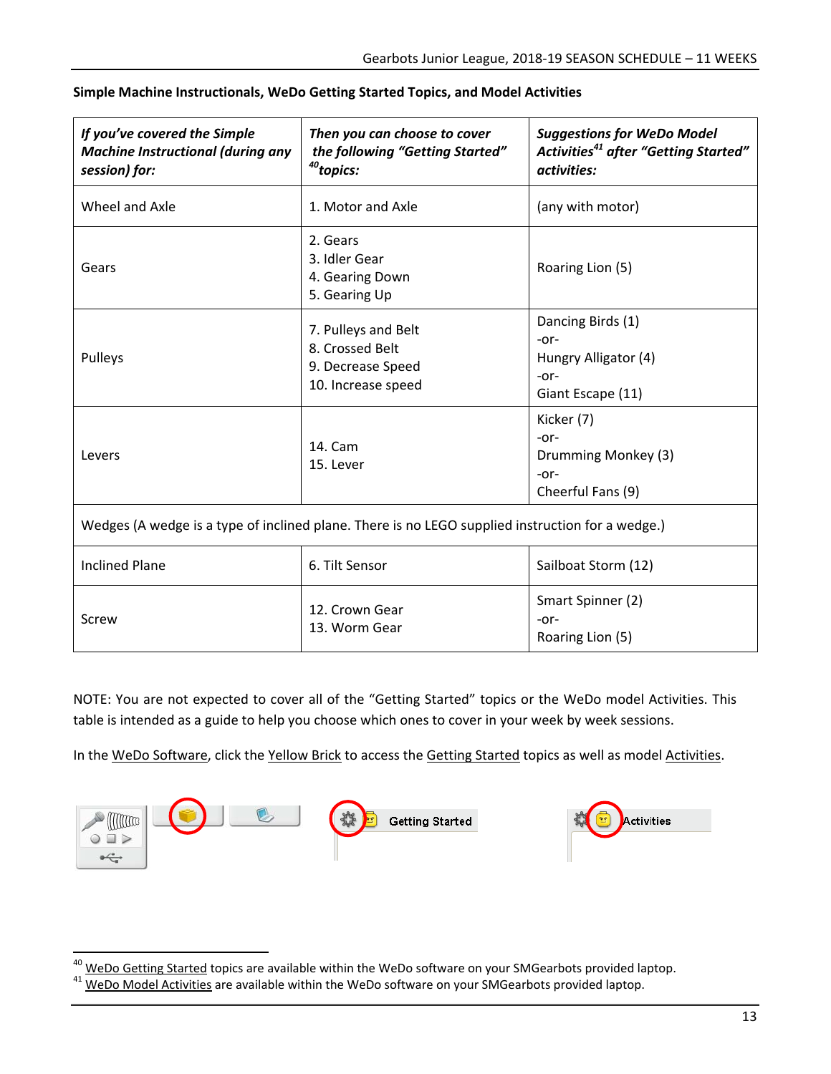| If you've covered the Simple<br><b>Machine Instructional (during any</b><br>session) for:        | Then you can choose to cover<br>the following "Getting Started"<br><sup>40</sup> topics: | <b>Suggestions for WeDo Model</b><br>Activities <sup>41</sup> after "Getting Started"<br>activities: |  |
|--------------------------------------------------------------------------------------------------|------------------------------------------------------------------------------------------|------------------------------------------------------------------------------------------------------|--|
| Wheel and Axle                                                                                   | 1. Motor and Axle                                                                        | (any with motor)                                                                                     |  |
| Gears                                                                                            | 2. Gears<br>3. Idler Gear<br>4. Gearing Down<br>5. Gearing Up                            | Roaring Lion (5)                                                                                     |  |
| Pulleys                                                                                          | 7. Pulleys and Belt<br>8. Crossed Belt<br>9. Decrease Speed<br>10. Increase speed        | Dancing Birds (1)<br>$-0r-$<br>Hungry Alligator (4)<br>$-0r-$<br>Giant Escape (11)                   |  |
| Levers                                                                                           | 14. Cam<br>15. Lever                                                                     | Kicker (7)<br>$-0r-$<br>Drumming Monkey (3)<br>$-0r-$<br>Cheerful Fans (9)                           |  |
| Wedges (A wedge is a type of inclined plane. There is no LEGO supplied instruction for a wedge.) |                                                                                          |                                                                                                      |  |
|                                                                                                  |                                                                                          |                                                                                                      |  |

## **Simple Machine Instructionals, WeDo Getting Started Topics, and Model Activities**

| Inclined Plane | 6. Tilt Sensor                  | Sailboat Storm (12)                           |
|----------------|---------------------------------|-----------------------------------------------|
| Screw          | 12. Crown Gear<br>13. Worm Gear | Smart Spinner (2)<br>-or-<br>Roaring Lion (5) |

NOTE: You are not expected to cover all of the "Getting Started" topics or the WeDo model Activities. This table is intended as a guide to help you choose which ones to cover in your week by week sessions.

In the WeDo Software, click the Yellow Brick to access the Getting Started topics as well as model Activities.



<sup>&</sup>lt;sup>40</sup> WeDo Getting Started topics are available within the WeDo software on your SMGearbots provided laptop.<br><sup>41</sup> WeDo Model Activities are available within the WeDo software on your SMGearbots provided laptop.